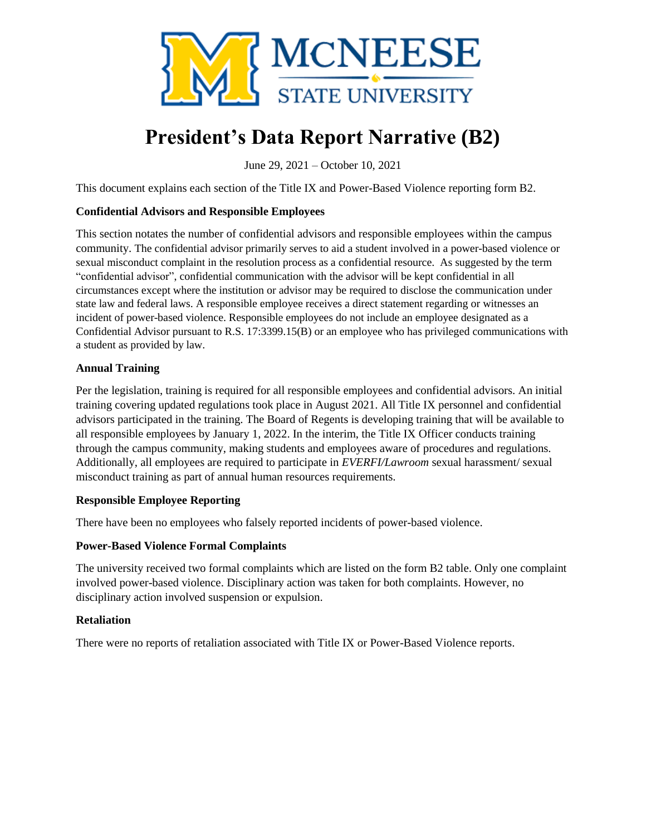

# **President's Data Report Narrative (B2)**

June 29, 2021 – October 10, 2021

This document explains each section of the Title IX and Power-Based Violence reporting form B2.

#### **Confidential Advisors and Responsible Employees**

This section notates the number of confidential advisors and responsible employees within the campus community. The confidential advisor primarily serves to aid a student involved in a power-based violence or sexual misconduct complaint in the resolution process as a confidential resource. As suggested by the term "confidential advisor", confidential communication with the advisor will be kept confidential in all circumstances except where the institution or advisor may be required to disclose the communication under state law and federal laws. A responsible employee receives a direct statement regarding or witnesses an incident of power-based violence. Responsible employees do not include an employee designated as a Confidential Advisor pursuant to R.S. 17:3399.15(B) or an employee who has privileged communications with a student as provided by law.

#### **Annual Training**

Per the legislation, training is required for all responsible employees and confidential advisors. An initial training covering updated regulations took place in August 2021. All Title IX personnel and confidential advisors participated in the training. The Board of Regents is developing training that will be available to all responsible employees by January 1, 2022. In the interim, the Title IX Officer conducts training through the campus community, making students and employees aware of procedures and regulations. Additionally, all employees are required to participate in *EVERFI/Lawroom* sexual harassment/ sexual misconduct training as part of annual human resources requirements.

#### **Responsible Employee Reporting**

There have been no employees who falsely reported incidents of power-based violence.

### **Power-Based Violence Formal Complaints**

The university received two formal complaints which are listed on the form B2 table. Only one complaint involved power-based violence. Disciplinary action was taken for both complaints. However, no disciplinary action involved suspension or expulsion.

#### **Retaliation**

There were no reports of retaliation associated with Title IX or Power-Based Violence reports.